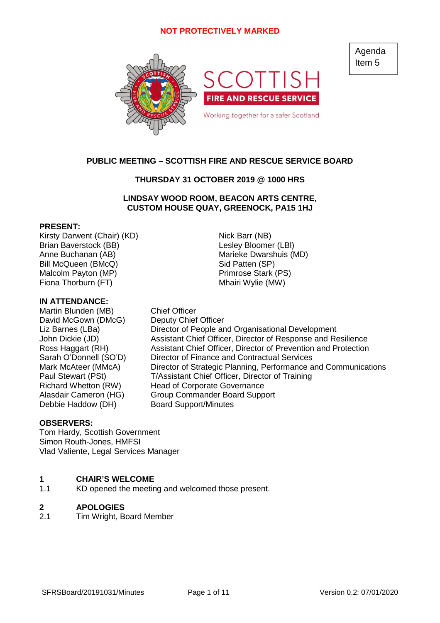

# **PUBLIC MEETING – SCOTTISH FIRE AND RESCUE SERVICE BOARD**

### **THURSDAY 31 OCTOBER 2019 @ 1000 HRS**

### **LINDSAY WOOD ROOM, BEACON ARTS CENTRE, CUSTOM HOUSE QUAY, GREENOCK, PA15 1HJ**

### **PRESENT:**

Kirsty Darwent (Chair) (KD) Nick Barr (NB) Brian Baverstock (BB) and the control of the Lesley Bloomer (LBI) Anne Buchanan (AB) Marieke Dwarshuis (MD) Bill McQueen (BMcQ) Sid Patten (SP) Malcolm Payton (MP) Primrose Stark (PS) Fiona Thorburn (FT) Mhairi Wylie (MW)

### **IN ATTENDANCE:**

Martin Blunden (MB) Chief Officer David McGown (DMcG) Deputy Chief Officer Debbie Haddow (DH) Board Support/Minutes

Liz Barnes (LBa) Director of People and Organisational Development John Dickie (JD) Assistant Chief Officer, Director of Response and Resilience Ross Haggart (RH) Assistant Chief Officer, Director of Prevention and Protection Sarah O'Donnell (SO'D) Director of Finance and Contractual Services Mark McAteer (MMcA) Director of Strategic Planning, Performance and Communications Paul Stewart (PSt) T/Assistant Chief Officer, Director of Training Richard Whetton (RW) Head of Corporate Governance Alasdair Cameron (HG) Group Commander Board Support

### **OBSERVERS:**

Tom Hardy, Scottish Government Simon Routh-Jones, HMFSI Vlad Valiente, Legal Services Manager

#### **1 CHAIR'S WELCOME**

1.1 KD opened the meeting and welcomed those present.

#### **2 APOLOGIES**

2.1 Tim Wright, Board Member Agenda Item 5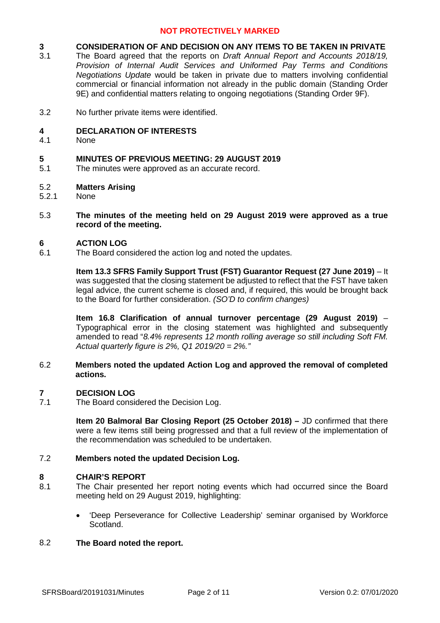#### **3 CONSIDERATION OF AND DECISION ON ANY ITEMS TO BE TAKEN IN PRIVATE**

- 3.1 The Board agreed that the reports on *Draft Annual Report and Accounts 2018/19, Provision of Internal Audit Services and Uniformed Pay Terms and Conditions Negotiations Update* would be taken in private due to matters involving confidential commercial or financial information not already in the public domain (Standing Order 9E) and confidential matters relating to ongoing negotiations (Standing Order 9F).
- 3.2 No further private items were identified.

#### **4 DECLARATION OF INTERESTS**

4.1 None

#### **5 MINUTES OF PREVIOUS MEETING: 29 AUGUST 2019**

- 5.1 The minutes were approved as an accurate record.
- 5.2 **Matters Arising**
- 5.2.1 None
- 5.3 **The minutes of the meeting held on 29 August 2019 were approved as a true record of the meeting.**

#### **6 ACTION LOG**

6.1 The Board considered the action log and noted the updates.

> **Item 13.3 SFRS Family Support Trust (FST) Guarantor Request (27 June 2019)** – It was suggested that the closing statement be adjusted to reflect that the FST have taken legal advice, the current scheme is closed and, if required, this would be brought back to the Board for further consideration. *(SO'D to confirm changes)*

> **Item 16.8 Clarification of annual turnover percentage (29 August 2019)** – Typographical error in the closing statement was highlighted and subsequently amended to read "*8.4% represents 12 month rolling average so still including Soft FM. Actual quarterly figure is 2%, Q1 2019/20 = 2%."*

#### 6.2 **Members noted the updated Action Log and approved the removal of completed actions.**

#### **7 DECISION LOG**

7.1 The Board considered the Decision Log.

> **Item 20 Balmoral Bar Closing Report (25 October 2018) –** JD confirmed that there were a few items still being progressed and that a full review of the implementation of the recommendation was scheduled to be undertaken.

#### 7.2 **Members noted the updated Decision Log.**

### **8 CHAIR'S REPORT**

- 8.1 The Chair presented her report noting events which had occurred since the Board meeting held on 29 August 2019, highlighting:
	- 'Deep Perseverance for Collective Leadership' seminar organised by Workforce Scotland.

#### 8.2 **The Board noted the report.**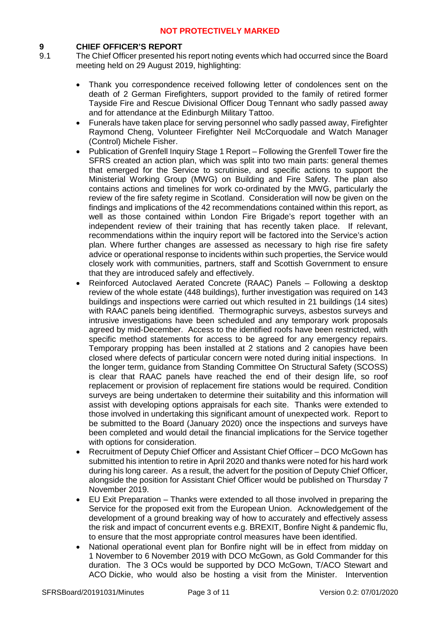# **9 CHIEF OFFICER'S REPORT**

- The Chief Officer presented his report noting events which had occurred since the Board meeting held on 29 August 2019, highlighting:
	- Thank you correspondence received following letter of condolences sent on the death of 2 German Firefighters, support provided to the family of retired former Tayside Fire and Rescue Divisional Officer Doug Tennant who sadly passed away and for attendance at the Edinburgh Military Tattoo.
	- Funerals have taken place for serving personnel who sadly passed away, Firefighter Raymond Cheng, Volunteer Firefighter Neil McCorquodale and Watch Manager (Control) Michele Fisher.
	- Publication of Grenfell Inquiry Stage 1 Report Following the Grenfell Tower fire the SFRS created an action plan, which was split into two main parts: general themes that emerged for the Service to scrutinise, and specific actions to support the Ministerial Working Group (MWG) on Building and Fire Safety. The plan also contains actions and timelines for work co-ordinated by the MWG, particularly the review of the fire safety regime in Scotland. Consideration will now be given on the findings and implications of the 42 recommendations contained within this report, as well as those contained within London Fire Brigade's report together with an independent review of their training that has recently taken place. If relevant, recommendations within the inquiry report will be factored into the Service's action plan. Where further changes are assessed as necessary to high rise fire safety advice or operational response to incidents within such properties, the Service would closely work with communities, partners, staff and Scottish Government to ensure that they are introduced safely and effectively.
	- Reinforced Autoclaved Aerated Concrete (RAAC) Panels Following a desktop review of the whole estate (448 buildings), further investigation was required on 143 buildings and inspections were carried out which resulted in 21 buildings (14 sites) with RAAC panels being identified. Thermographic surveys, asbestos surveys and intrusive investigations have been scheduled and any temporary work proposals agreed by mid-December. Access to the identified roofs have been restricted, with specific method statements for access to be agreed for any emergency repairs. Temporary propping has been installed at 2 stations and 2 canopies have been closed where defects of particular concern were noted during initial inspections. In the longer term, guidance from Standing Committee On Structural Safety (SCOSS) is clear that RAAC panels have reached the end of their design life, so roof replacement or provision of replacement fire stations would be required. Condition surveys are being undertaken to determine their suitability and this information will assist with developing options appraisals for each site. Thanks were extended to those involved in undertaking this significant amount of unexpected work. Report to be submitted to the Board (January 2020) once the inspections and surveys have been completed and would detail the financial implications for the Service together with options for consideration.
	- Recruitment of Deputy Chief Officer and Assistant Chief Officer DCO McGown has submitted his intention to retire in April 2020 and thanks were noted for his hard work during his long career. As a result, the advert for the position of Deputy Chief Officer, alongside the position for Assistant Chief Officer would be published on Thursday 7 November 2019.
	- EU Exit Preparation Thanks were extended to all those involved in preparing the Service for the proposed exit from the European Union. Acknowledgement of the development of a ground breaking way of how to accurately and effectively assess the risk and impact of concurrent events e.g. BREXIT, Bonfire Night & pandemic flu, to ensure that the most appropriate control measures have been identified.
	- National operational event plan for Bonfire night will be in effect from midday on 1 November to 6 November 2019 with DCO McGown, as Gold Commander for this duration. The 3 OCs would be supported by DCO McGown, T/ACO Stewart and ACO Dickie, who would also be hosting a visit from the Minister. Intervention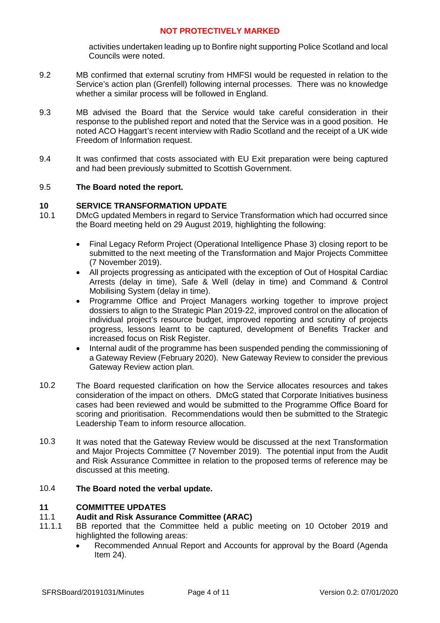activities undertaken leading up to Bonfire night supporting Police Scotland and local Councils were noted.

- 9.2 MB confirmed that external scrutiny from HMFSI would be requested in relation to the Service's action plan (Grenfell) following internal processes. There was no knowledge whether a similar process will be followed in England.
- 9.3 MB advised the Board that the Service would take careful consideration in their response to the published report and noted that the Service was in a good position. He noted ACO Haggart's recent interview with Radio Scotland and the receipt of a UK wide Freedom of Information request.
- 9.4 It was confirmed that costs associated with EU Exit preparation were being captured and had been previously submitted to Scottish Government.

#### 9.5 **The Board noted the report.**

### **10 SERVICE TRANSFORMATION UPDATE**

- 10.1 DMcG updated Members in regard to Service Transformation which had occurred since the Board meeting held on 29 August 2019, highlighting the following:
	- Final Legacy Reform Project (Operational Intelligence Phase 3) closing report to be submitted to the next meeting of the Transformation and Major Projects Committee (7 November 2019).
	- All projects progressing as anticipated with the exception of Out of Hospital Cardiac Arrests (delay in time), Safe & Well (delay in time) and Command & Control Mobilising System (delay in time).
	- Programme Office and Project Managers working together to improve project dossiers to align to the Strategic Plan 2019-22, improved control on the allocation of individual project's resource budget, improved reporting and scrutiny of projects progress, lessons learnt to be captured, development of Benefits Tracker and increased focus on Risk Register.
	- Internal audit of the programme has been suspended pending the commissioning of a Gateway Review (February 2020). New Gateway Review to consider the previous Gateway Review action plan.
- 10.2 The Board requested clarification on how the Service allocates resources and takes consideration of the impact on others. DMcG stated that Corporate Initiatives business cases had been reviewed and would be submitted to the Programme Office Board for scoring and prioritisation. Recommendations would then be submitted to the Strategic Leadership Team to inform resource allocation.
- 10.3 It was noted that the Gateway Review would be discussed at the next Transformation and Major Projects Committee (7 November 2019). The potential input from the Audit and Risk Assurance Committee in relation to the proposed terms of reference may be discussed at this meeting.

#### 10.4 **The Board noted the verbal update.**

### **11 COMMITTEE UPDATES**

#### 11.1 **Audit and Risk Assurance Committee (ARAC)**

- 11.1.1 BB reported that the Committee held a public meeting on 10 October 2019 and highlighted the following areas:
	- Recommended Annual Report and Accounts for approval by the Board (Agenda Item 24).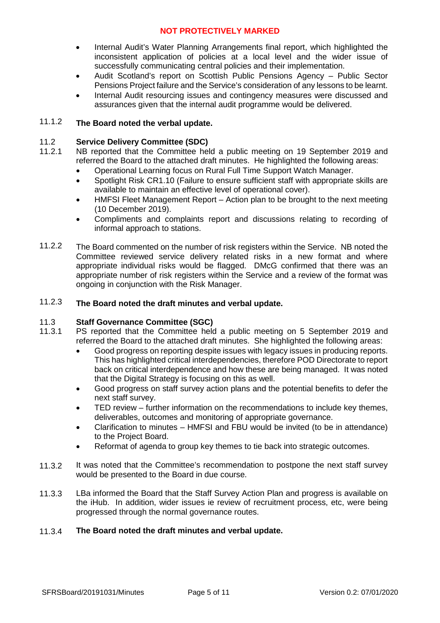- Internal Audit's Water Planning Arrangements final report, which highlighted the inconsistent application of policies at a local level and the wider issue of successfully communicating central policies and their implementation.
- Audit Scotland's report on Scottish Public Pensions Agency Public Sector Pensions Project failure and the Service's consideration of any lessons to be learnt.
- Internal Audit resourcing issues and contingency measures were discussed and assurances given that the internal audit programme would be delivered.

#### 11.1.2 **The Board noted the verbal update.**

#### 11.2 **Service Delivery Committee (SDC)**

- 11.2.1 NB reported that the Committee held a public meeting on 19 September 2019 and referred the Board to the attached draft minutes. He highlighted the following areas:
	- Operational Learning focus on Rural Full Time Support Watch Manager.
	- Spotlight Risk CR1.10 (Failure to ensure sufficient staff with appropriate skills are available to maintain an effective level of operational cover).
	- HMFSI Fleet Management Report Action plan to be brought to the next meeting (10 December 2019).
	- Compliments and complaints report and discussions relating to recording of informal approach to stations.
- 11.2.2 The Board commented on the number of risk registers within the Service. NB noted the Committee reviewed service delivery related risks in a new format and where appropriate individual risks would be flagged. DMcG confirmed that there was an appropriate number of risk registers within the Service and a review of the format was ongoing in conjunction with the Risk Manager.

#### 11.2.3 **The Board noted the draft minutes and verbal update.**

#### 11.3 **Staff Governance Committee (SGC)**

- 11.3.1 PS reported that the Committee held a public meeting on 5 September 2019 and referred the Board to the attached draft minutes. She highlighted the following areas:
	- Good progress on reporting despite issues with legacy issues in producing reports. This has highlighted critical interdependencies, therefore POD Directorate to report back on critical interdependence and how these are being managed. It was noted that the Digital Strategy is focusing on this as well.
	- Good progress on staff survey action plans and the potential benefits to defer the next staff survey.
	- TED review further information on the recommendations to include key themes, deliverables, outcomes and monitoring of appropriate governance.
	- Clarification to minutes HMFSI and FBU would be invited (to be in attendance) to the Project Board.
	- Reformat of agenda to group key themes to tie back into strategic outcomes.
- 11.3.2 It was noted that the Committee's recommendation to postpone the next staff survey would be presented to the Board in due course.
- 11.3.3 LBa informed the Board that the Staff Survey Action Plan and progress is available on the iHub. In addition, wider issues ie review of recruitment process, etc, were being progressed through the normal governance routes.

#### 11.3.4 **The Board noted the draft minutes and verbal update.**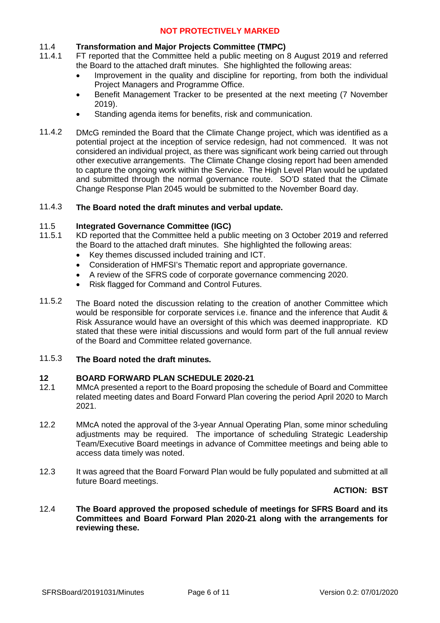#### 11.4 **Transformation and Major Projects Committee (TMPC)**

- 11.4.1 FT reported that the Committee held a public meeting on 8 August 2019 and referred the Board to the attached draft minutes. She highlighted the following areas:
	- Improvement in the quality and discipline for reporting, from both the individual Project Managers and Programme Office.
	- Benefit Management Tracker to be presented at the next meeting (7 November 2019).
	- Standing agenda items for benefits, risk and communication.
- 11.4.2 DMcG reminded the Board that the Climate Change project, which was identified as a potential project at the inception of service redesign, had not commenced. It was not considered an individual project, as there was significant work being carried out through other executive arrangements. The Climate Change closing report had been amended to capture the ongoing work within the Service. The High Level Plan would be updated and submitted through the normal governance route. SO'D stated that the Climate Change Response Plan 2045 would be submitted to the November Board day.

#### 11.4.3 **The Board noted the draft minutes and verbal update.**

#### 11.5 **Integrated Governance Committee (IGC)**

- 11.5.1 KD reported that the Committee held a public meeting on 3 October 2019 and referred the Board to the attached draft minutes. She highlighted the following areas:
	- Key themes discussed included training and ICT.
	- Consideration of HMFSI's Thematic report and appropriate governance.
	- A review of the SFRS code of corporate governance commencing 2020.
	- Risk flagged for Command and Control Futures.
- 11.5.2 The Board noted the discussion relating to the creation of another Committee which would be responsible for corporate services i.e. finance and the inference that Audit & Risk Assurance would have an oversight of this which was deemed inappropriate. KD stated that these were initial discussions and would form part of the full annual review of the Board and Committee related governance.

#### 11.5.3 **The Board noted the draft minutes.**

### **12 BOARD FORWARD PLAN SCHEDULE 2020-21**

- 12.1 MMcA presented a report to the Board proposing the schedule of Board and Committee related meeting dates and Board Forward Plan covering the period April 2020 to March 2021.
- 12.2 MMcA noted the approval of the 3-year Annual Operating Plan, some minor scheduling adjustments may be required. The importance of scheduling Strategic Leadership Team/Executive Board meetings in advance of Committee meetings and being able to access data timely was noted.
- 12.3 It was agreed that the Board Forward Plan would be fully populated and submitted at all future Board meetings.

### **ACTION: BST**

12.4 **The Board approved the proposed schedule of meetings for SFRS Board and its Committees and Board Forward Plan 2020-21 along with the arrangements for reviewing these.**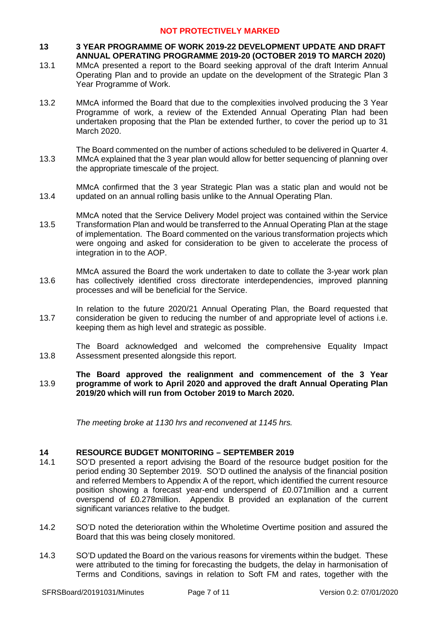### **13 3 YEAR PROGRAMME OF WORK 2019-22 DEVELOPMENT UPDATE AND DRAFT ANNUAL OPERATING PROGRAMME 2019-20 (OCTOBER 2019 TO MARCH 2020)**

- 13.1 MMcA presented a report to the Board seeking approval of the draft Interim Annual Operating Plan and to provide an update on the development of the Strategic Plan 3 Year Programme of Work.
- 13.2 MMcA informed the Board that due to the complexities involved producing the 3 Year Programme of work, a review of the Extended Annual Operating Plan had been undertaken proposing that the Plan be extended further, to cover the period up to 31 March 2020.
- 13.3 The Board commented on the number of actions scheduled to be delivered in Quarter 4. MMcA explained that the 3 year plan would allow for better sequencing of planning over the appropriate timescale of the project.

13.4 MMcA confirmed that the 3 year Strategic Plan was a static plan and would not be updated on an annual rolling basis unlike to the Annual Operating Plan.

- 13.5 MMcA noted that the Service Delivery Model project was contained within the Service Transformation Plan and would be transferred to the Annual Operating Plan at the stage of implementation. The Board commented on the various transformation projects which were ongoing and asked for consideration to be given to accelerate the process of integration in to the AOP.
- 13.6 MMcA assured the Board the work undertaken to date to collate the 3-year work plan has collectively identified cross directorate interdependencies, improved planning processes and will be beneficial for the Service.
- 13.7 In relation to the future 2020/21 Annual Operating Plan, the Board requested that consideration be given to reducing the number of and appropriate level of actions i.e. keeping them as high level and strategic as possible.

13.8 The Board acknowledged and welcomed the comprehensive Equality Impact Assessment presented alongside this report.

#### 13.9 **The Board approved the realignment and commencement of the 3 Year programme of work to April 2020 and approved the draft Annual Operating Plan 2019/20 which will run from October 2019 to March 2020.**

*The meeting broke at 1130 hrs and reconvened at 1145 hrs.*

### **14 RESOURCE BUDGET MONITORING – SEPTEMBER 2019**

- 14.1 SO'D presented a report advising the Board of the resource budget position for the period ending 30 September 2019. SO'D outlined the analysis of the financial position and referred Members to Appendix A of the report, which identified the current resource position showing a forecast year-end underspend of £0.071million and a current overspend of £0.278million. Appendix B provided an explanation of the current significant variances relative to the budget.
- 14.2 SO'D noted the deterioration within the Wholetime Overtime position and assured the Board that this was being closely monitored.
- 14.3 SO'D updated the Board on the various reasons for virements within the budget. These were attributed to the timing for forecasting the budgets, the delay in harmonisation of Terms and Conditions, savings in relation to Soft FM and rates, together with the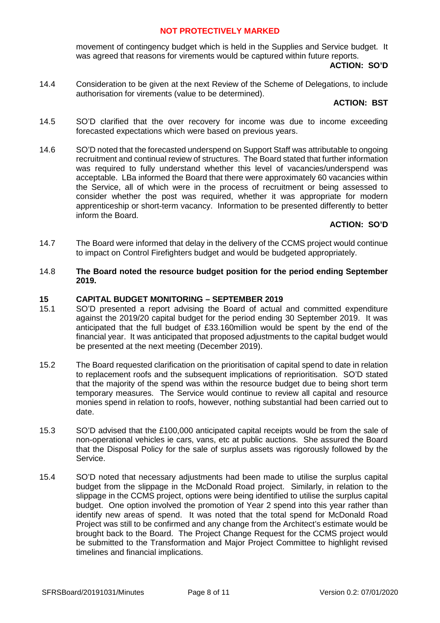movement of contingency budget which is held in the Supplies and Service budget. It was agreed that reasons for virements would be captured within future reports.

### **ACTION: SO'D**

14.4 Consideration to be given at the next Review of the Scheme of Delegations, to include authorisation for virements (value to be determined).

# **ACTION: BST**

- 14.5 SO'D clarified that the over recovery for income was due to income exceeding forecasted expectations which were based on previous years.
- 14.6 SO'D noted that the forecasted underspend on Support Staff was attributable to ongoing recruitment and continual review of structures. The Board stated that further information was required to fully understand whether this level of vacancies/underspend was acceptable. LBa informed the Board that there were approximately 60 vacancies within the Service, all of which were in the process of recruitment or being assessed to consider whether the post was required, whether it was appropriate for modern apprenticeship or short-term vacancy. Information to be presented differently to better inform the Board.

### **ACTION: SO'D**

- 14.7 The Board were informed that delay in the delivery of the CCMS project would continue to impact on Control Firefighters budget and would be budgeted appropriately.
- 14.8 **The Board noted the resource budget position for the period ending September 2019.**

### **15 CAPITAL BUDGET MONITORING – SEPTEMBER 2019**

- 15.1 SO'D presented a report advising the Board of actual and committed expenditure against the 2019/20 capital budget for the period ending 30 September 2019. It was anticipated that the full budget of £33.160million would be spent by the end of the financial year. It was anticipated that proposed adjustments to the capital budget would be presented at the next meeting (December 2019).
- 15.2 The Board requested clarification on the prioritisation of capital spend to date in relation to replacement roofs and the subsequent implications of reprioritisation. SO'D stated that the majority of the spend was within the resource budget due to being short term temporary measures. The Service would continue to review all capital and resource monies spend in relation to roofs, however, nothing substantial had been carried out to date.
- 15.3 SO'D advised that the £100,000 anticipated capital receipts would be from the sale of non-operational vehicles ie cars, vans, etc at public auctions. She assured the Board that the Disposal Policy for the sale of surplus assets was rigorously followed by the Service.
- 15.4 SO'D noted that necessary adjustments had been made to utilise the surplus capital budget from the slippage in the McDonald Road project. Similarly, in relation to the slippage in the CCMS project, options were being identified to utilise the surplus capital budget. One option involved the promotion of Year 2 spend into this year rather than identify new areas of spend. It was noted that the total spend for McDonald Road Project was still to be confirmed and any change from the Architect's estimate would be brought back to the Board. The Project Change Request for the CCMS project would be submitted to the Transformation and Major Project Committee to highlight revised timelines and financial implications.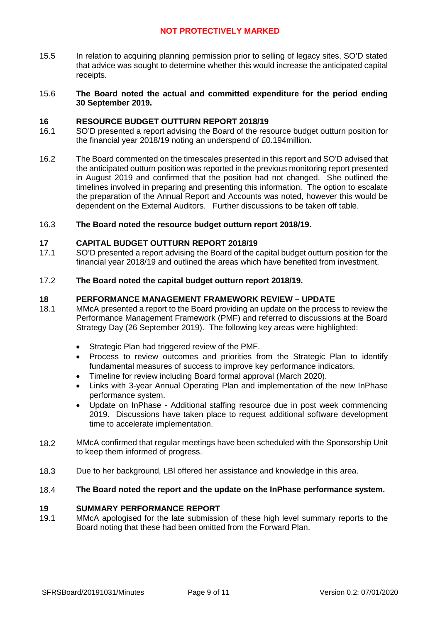15.5 In relation to acquiring planning permission prior to selling of legacy sites, SO'D stated that advice was sought to determine whether this would increase the anticipated capital receipts.

#### 15.6 **The Board noted the actual and committed expenditure for the period ending 30 September 2019.**

### **16 RESOURCE BUDGET OUTTURN REPORT 2018/19**

- 16.1 SO'D presented a report advising the Board of the resource budget outturn position for the financial year 2018/19 noting an underspend of £0.194million.
- 16.2 The Board commented on the timescales presented in this report and SO'D advised that the anticipated outturn position was reported in the previous monitoring report presented in August 2019 and confirmed that the position had not changed. She outlined the timelines involved in preparing and presenting this information. The option to escalate the preparation of the Annual Report and Accounts was noted, however this would be dependent on the External Auditors. Further discussions to be taken off table.

#### 16.3 **The Board noted the resource budget outturn report 2018/19.**

### **17 CAPITAL BUDGET OUTTURN REPORT 2018/19**

17.1 SO'D presented a report advising the Board of the capital budget outturn position for the financial year 2018/19 and outlined the areas which have benefited from investment.

#### 17.2 **The Board noted the capital budget outturn report 2018/19.**

### **18 PERFORMANCE MANAGEMENT FRAMEWORK REVIEW – UPDATE**

- 18.1 MMcA presented a report to the Board providing an update on the process to review the Performance Management Framework (PMF) and referred to discussions at the Board Strategy Day (26 September 2019). The following key areas were highlighted:
	- Strategic Plan had triggered review of the PMF.
	- Process to review outcomes and priorities from the Strategic Plan to identify fundamental measures of success to improve key performance indicators.
	- Timeline for review including Board formal approval (March 2020).
	- Links with 3-year Annual Operating Plan and implementation of the new InPhase performance system.
	- Update on InPhase Additional staffing resource due in post week commencing 2019. Discussions have taken place to request additional software development time to accelerate implementation.
- 18.2 MMcA confirmed that regular meetings have been scheduled with the Sponsorship Unit to keep them informed of progress.
- 18.3 Due to her background, LBl offered her assistance and knowledge in this area.

#### 18.4 **The Board noted the report and the update on the InPhase performance system.**

### **19 SUMMARY PERFORMANCE REPORT**

19.1 MMcA apologised for the late submission of these high level summary reports to the Board noting that these had been omitted from the Forward Plan.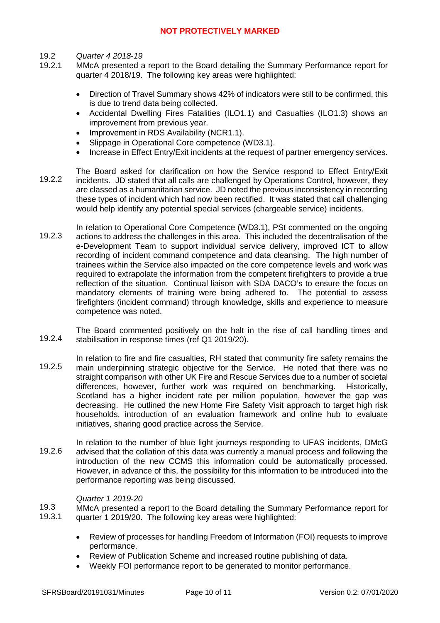#### 19.2 *Quarter 4 2018-19*

- 19.2.1 MMcA presented a report to the Board detailing the Summary Performance report for quarter 4 2018/19. The following key areas were highlighted:
	- Direction of Travel Summary shows 42% of indicators were still to be confirmed, this is due to trend data being collected.
	- Accidental Dwelling Fires Fatalities (ILO1.1) and Casualties (ILO1.3) shows an improvement from previous year.
	- Improvement in RDS Availability (NCR1.1).
	- Slippage in Operational Core competence (WD3.1).
	- Increase in Effect Entry/Exit incidents at the request of partner emergency services.
- 19.2.2 The Board asked for clarification on how the Service respond to Effect Entry/Exit incidents. JD stated that all calls are challenged by Operations Control, however, they are classed as a humanitarian service. JD noted the previous inconsistency in recording these types of incident which had now been rectified. It was stated that call challenging would help identify any potential special services (chargeable service) incidents.
- 19.2.3 In relation to Operational Core Competence (WD3.1), PSt commented on the ongoing actions to address the challenges in this area. This included the decentralisation of the e-Development Team to support individual service delivery, improved ICT to allow recording of incident command competence and data cleansing. The high number of trainees within the Service also impacted on the core competence levels and work was required to extrapolate the information from the competent firefighters to provide a true reflection of the situation. Continual liaison with SDA DACO's to ensure the focus on mandatory elements of training were being adhered to. The potential to assess firefighters (incident command) through knowledge, skills and experience to measure competence was noted.

19.2.4 The Board commented positively on the halt in the rise of call handling times and stabilisation in response times (ref Q1 2019/20).

- 19.2.5 In relation to fire and fire casualties, RH stated that community fire safety remains the main underpinning strategic objective for the Service. He noted that there was no straight comparison with other UK Fire and Rescue Services due to a number of societal differences, however, further work was required on benchmarking. Historically, Scotland has a higher incident rate per million population, however the gap was decreasing. He outlined the new Home Fire Safety Visit approach to target high risk households, introduction of an evaluation framework and online hub to evaluate initiatives, sharing good practice across the Service.
- 19.2.6 In relation to the number of blue light journeys responding to UFAS incidents, DMcG advised that the collation of this data was currently a manual process and following the introduction of the new CCMS this information could be automatically processed. However, in advance of this, the possibility for this information to be introduced into the performance reporting was being discussed.

### *Quarter 1 2019-20*

19.3 19.3.1 MMcA presented a report to the Board detailing the Summary Performance report for quarter 1 2019/20. The following key areas were highlighted:

- Review of processes for handling Freedom of Information (FOI) requests to improve performance.
- Review of Publication Scheme and increased routine publishing of data.
- Weekly FOI performance report to be generated to monitor performance.